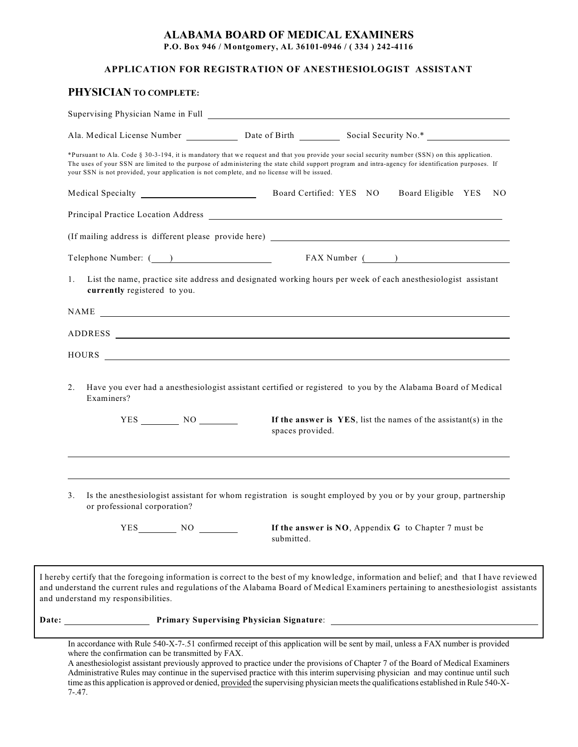## **ALABAMA BOARD OF MEDICAL EXAMINERS**

**P.O. Box 946 / Montgomery, AL 36101-0946 / ( 334 ) 242-4116**

## **APPLICATION FOR REGISTRATION OF ANESTHESIOLOGIST ASSISTANT**

## **PHYSICIAN TO COMPLETE:**

|                                                                                                                                                                                                                                                                                                                                                                                                   | Ala. Medical License Number ______________ Date of Birth ____________ Social Security No.* ___________________ |                                                                    |                       |  |
|---------------------------------------------------------------------------------------------------------------------------------------------------------------------------------------------------------------------------------------------------------------------------------------------------------------------------------------------------------------------------------------------------|----------------------------------------------------------------------------------------------------------------|--------------------------------------------------------------------|-----------------------|--|
| *Pursuant to Ala. Code § 30-3-194, it is mandatory that we request and that you provide your social security number (SSN) on this application.<br>The uses of your SSN are limited to the purpose of administering the state child support program and intra-agency for identification purposes. If<br>your SSN is not provided, your application is not complete, and no license will be issued. |                                                                                                                |                                                                    |                       |  |
|                                                                                                                                                                                                                                                                                                                                                                                                   |                                                                                                                |                                                                    | Board Eligible YES NO |  |
|                                                                                                                                                                                                                                                                                                                                                                                                   |                                                                                                                |                                                                    |                       |  |
|                                                                                                                                                                                                                                                                                                                                                                                                   |                                                                                                                |                                                                    |                       |  |
|                                                                                                                                                                                                                                                                                                                                                                                                   |                                                                                                                |                                                                    |                       |  |
| List the name, practice site address and designated working hours per week of each anesthesiologist assistant<br>1.<br>currently registered to you.                                                                                                                                                                                                                                               |                                                                                                                |                                                                    |                       |  |
| NAME                                                                                                                                                                                                                                                                                                                                                                                              |                                                                                                                |                                                                    |                       |  |
|                                                                                                                                                                                                                                                                                                                                                                                                   |                                                                                                                |                                                                    |                       |  |
| HOURS NOW RESERVE TO A REPORT OF THE SERVE TO A REPORT OF THE SERVE TO A REPORT OF THE SERVE TO A REPORT OF THE SERVE TO A REPORT OF THE SERVE TO A REPORT OF THE SERVE TO A REPORT OF THE SERVE TO A REPORT OF THE SERVE TO A                                                                                                                                                                    |                                                                                                                |                                                                    |                       |  |
| $YES$ NO $NOS$                                                                                                                                                                                                                                                                                                                                                                                    | spaces provided.                                                                                               | If the answer is $YES$ , list the names of the assistant(s) in the |                       |  |
|                                                                                                                                                                                                                                                                                                                                                                                                   |                                                                                                                |                                                                    |                       |  |
| 3.<br>Is the anesthesiologist assistant for whom registration is sought employed by you or by your group, partnership                                                                                                                                                                                                                                                                             |                                                                                                                |                                                                    |                       |  |
| or professional corporation?<br>YES<br>NO.                                                                                                                                                                                                                                                                                                                                                        | submitted.                                                                                                     | If the answer is NO, Appendix G to Chapter 7 must be               |                       |  |
| I hereby certify that the foregoing information is correct to the best of my knowledge, information and belief; and that I have reviewed<br>and understand the current rules and regulations of the Alabama Board of Medical Examiners pertaining to anesthesiologist assistants<br>and understand my responsibilities.                                                                           |                                                                                                                |                                                                    |                       |  |
|                                                                                                                                                                                                                                                                                                                                                                                                   | <b>Primary Supervising Physician Signature:</b>                                                                |                                                                    |                       |  |

Administrative Rules may continue in the supervised practice with this interim supervising physician and may continue until such time as this application is approved or denied, provided the supervising physician meets the qualifications established in Rule 540-X-7-.47.